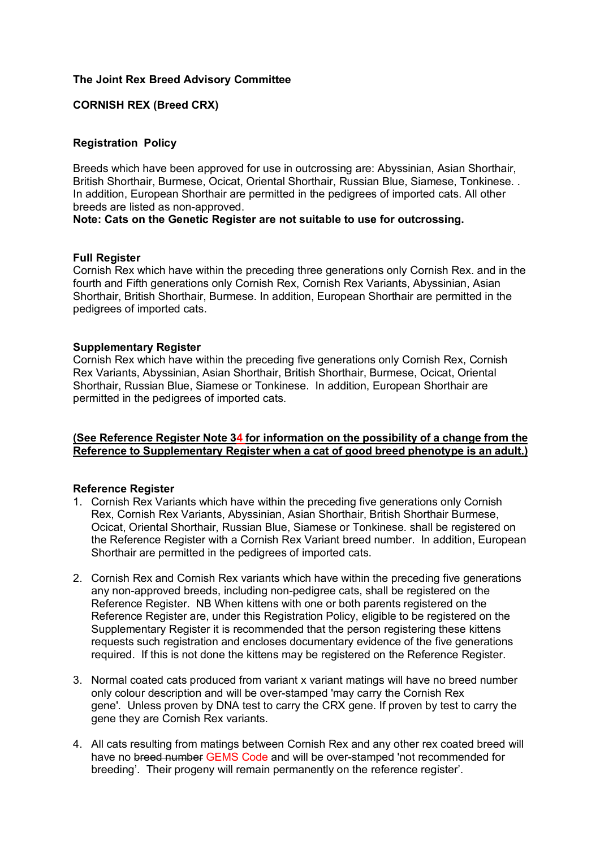## **The Joint Rex Breed Advisory Committee**

# **CORNISH REX (Breed CRX)**

### **Registration Policy**

Breeds which have been approved for use in outcrossing are: Abyssinian, Asian Shorthair, British Shorthair, Burmese, Ocicat, Oriental Shorthair, Russian Blue, Siamese, Tonkinese. . In addition, European Shorthair are permitted in the pedigrees of imported cats. All other breeds are listed as non-approved.

**Note: Cats on the Genetic Register are not suitable to use for outcrossing.**

#### **Full Register**

Cornish Rex which have within the preceding three generations only Cornish Rex. and in the fourth and Fifth generations only Cornish Rex, Cornish Rex Variants, Abyssinian, Asian Shorthair, British Shorthair, Burmese. In addition, European Shorthair are permitted in the pedigrees of imported cats.

## **Supplementary Register**

Cornish Rex which have within the preceding five generations only Cornish Rex, Cornish Rex Variants, Abyssinian, Asian Shorthair, British Shorthair, Burmese, Ocicat, Oriental Shorthair, Russian Blue, Siamese or Tonkinese. In addition, European Shorthair are permitted in the pedigrees of imported cats.

## **(See Reference Register Note 34 for information on the possibility of a change from the Reference to Supplementary Register when a cat of good breed phenotype is an adult.)**

#### **Reference Register**

- 1. Cornish Rex Variants which have within the preceding five generations only Cornish Rex, Cornish Rex Variants, Abyssinian, Asian Shorthair, British Shorthair Burmese, Ocicat, Oriental Shorthair, Russian Blue, Siamese or Tonkinese. shall be registered on the Reference Register with a Cornish Rex Variant breed number. In addition, European Shorthair are permitted in the pedigrees of imported cats.
- 2. Cornish Rex and Cornish Rex variants which have within the preceding five generations any non-approved breeds, including non-pedigree cats, shall be registered on the Reference Register. NB When kittens with one or both parents registered on the Reference Register are, under this Registration Policy, eligible to be registered on the Supplementary Register it is recommended that the person registering these kittens requests such registration and encloses documentary evidence of the five generations required. If this is not done the kittens may be registered on the Reference Register.
- 3. Normal coated cats produced from variant x variant matings will have no breed number only colour description and will be over-stamped 'may carry the Cornish Rex gene'. Unless proven by DNA test to carry the CRX gene. If proven by test to carry the gene they are Cornish Rex variants.
- 4. All cats resulting from matings between Cornish Rex and any other rex coated breed will have no breed number GEMS Code and will be over-stamped 'not recommended for breeding'. Their progeny will remain permanently on the reference register'.